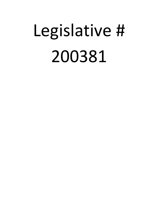## Legislative # 200381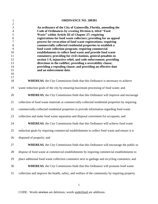| $\mathbf{1}$                                                                                                                  | <b>ORDINANCE NO. 200381</b>                                                                                                                                                                                                                                                                                                                                                                                                                                                                                                                                                                                                                                                                                                                                                                                   |
|-------------------------------------------------------------------------------------------------------------------------------|---------------------------------------------------------------------------------------------------------------------------------------------------------------------------------------------------------------------------------------------------------------------------------------------------------------------------------------------------------------------------------------------------------------------------------------------------------------------------------------------------------------------------------------------------------------------------------------------------------------------------------------------------------------------------------------------------------------------------------------------------------------------------------------------------------------|
| $\boldsymbol{2}$<br>3<br>$\overline{4}$<br>5<br>6<br>$\boldsymbol{7}$<br>$8\,$<br>9<br>10<br>11<br>12<br>13<br>14<br>15<br>16 | An ordinance of the City of Gainesville, Florida, amending the<br>Code of Ordinances by creating Division 6, titled "Food<br>Waste" within Article III of Chapter 27; requiring<br>registrations for food waste collectors; providing for an appeal<br>process for revocation of food waste registrations; requiring<br>commercially-collected residential properties to establish a<br>food waste collection program; requiring commercial<br>establishments to collect food waste and provide food waste<br>containers; providing for civil citations, general penalties in<br>section 1-9, injunctive relief, and code enforcement; providing<br>directions to the codifier; providing a severability clause;<br>providing a repealing clause; and providing an effective date<br>and an enforcement date. |
| 17<br>18                                                                                                                      | <b>WHEREAS</b> , the City Commission finds that this Ordinance is necessary to achieve                                                                                                                                                                                                                                                                                                                                                                                                                                                                                                                                                                                                                                                                                                                        |
| 19                                                                                                                            | waste reduction goals of the city by ensuring maximum processing of food waste; and                                                                                                                                                                                                                                                                                                                                                                                                                                                                                                                                                                                                                                                                                                                           |
| 20                                                                                                                            | WHEREAS, the City Commission finds that this Ordinance will improve and encourage                                                                                                                                                                                                                                                                                                                                                                                                                                                                                                                                                                                                                                                                                                                             |
| 21                                                                                                                            | collection of food waste materials at commercially-collected residential properties by requiring                                                                                                                                                                                                                                                                                                                                                                                                                                                                                                                                                                                                                                                                                                              |
| 22                                                                                                                            | commercially-collected residential properties to provide information regarding food waste                                                                                                                                                                                                                                                                                                                                                                                                                                                                                                                                                                                                                                                                                                                     |
| 23                                                                                                                            | collection and make food waste separation and disposal convenient for occupants; and                                                                                                                                                                                                                                                                                                                                                                                                                                                                                                                                                                                                                                                                                                                          |
| 24                                                                                                                            | <b>WHEREAS</b> , the City Commission finds that this Ordinance will achieve food waste                                                                                                                                                                                                                                                                                                                                                                                                                                                                                                                                                                                                                                                                                                                        |
| 25                                                                                                                            | reduction goals by requiring commercial establishments to collect food waste and ensure it is                                                                                                                                                                                                                                                                                                                                                                                                                                                                                                                                                                                                                                                                                                                 |
| 26                                                                                                                            | disposed of properly; and                                                                                                                                                                                                                                                                                                                                                                                                                                                                                                                                                                                                                                                                                                                                                                                     |
| 27                                                                                                                            | <b>WHEREAS</b> , the City Commission finds that this Ordinance will encourage the public to                                                                                                                                                                                                                                                                                                                                                                                                                                                                                                                                                                                                                                                                                                                   |
| 28                                                                                                                            | dispose of food waste at commercial establishments by requiring commercial establishments to                                                                                                                                                                                                                                                                                                                                                                                                                                                                                                                                                                                                                                                                                                                  |
| 29                                                                                                                            | place additional food waste collection containers next to garbage and recycling containers; and                                                                                                                                                                                                                                                                                                                                                                                                                                                                                                                                                                                                                                                                                                               |
| 30                                                                                                                            | <b>WHEREAS</b> , the City Commission finds that this Ordinance will promote food waste                                                                                                                                                                                                                                                                                                                                                                                                                                                                                                                                                                                                                                                                                                                        |
| 31                                                                                                                            | collection and improve the health, safety, and welfare of the community by requiring property                                                                                                                                                                                                                                                                                                                                                                                                                                                                                                                                                                                                                                                                                                                 |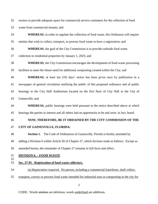owners to provide adequate space for commercial service containers for the collection of food waste from commercial tenants; and

| 34       | <b>WHEREAS</b> , in order to regulate the collection of food waste, this Ordinance will require    |  |  |
|----------|----------------------------------------------------------------------------------------------------|--|--|
| 35       | entities that wish to collect, transport, or process food waste to have a registration; and        |  |  |
| 36       | <b>WHEREAS</b> , the goal of the City Commission is to provide curbside food waste                 |  |  |
| 37       | collection to residential properties by January 1, 2025; and                                       |  |  |
| 38       | <b>WHEREAS</b> , the City Commission encourages the development of food waste processing           |  |  |
| 39       | facilities to meet the future need for additional composting created within the City; and          |  |  |
| 40       | <b>WHEREAS</b> , at least ten (10) days' notice has been given once by publication in a            |  |  |
| 41       | newspaper of general circulation notifying the public of this proposed ordinance and of public     |  |  |
| 42       | hearings in the City Hall Auditorium located on the first floor of City Hall in the City of        |  |  |
| 43       | Gainesville; and                                                                                   |  |  |
| 44       | WHEREAS, public hearings were held pursuant to the notice described above at which                 |  |  |
| 45       | hearings the parties in interest and all others had an opportunity to be and were, in fact, heard. |  |  |
| 46       | NOW, THEREFORE, BE IT ORDAINED BY THE CITY COMMISSION OF THE                                       |  |  |
| 47       | <b>CITY OF GAINESVILLE, FLORIDA:</b>                                                               |  |  |
| 48       | The Code of Ordinances of Gainesville, Florida is hereby amended by<br><b>Section 1.</b>           |  |  |
| 49       | adding a Division 6 within Article III of Chapter 27, which division reads as follows. Except as   |  |  |
| 50       | amended herein, the remainder of Chapter 27 remains in full force and effect.                      |  |  |
| 51<br>52 | <b>DIVISION 6. - FOOD WASTE</b>                                                                    |  |  |
| 53       | Sec. 27-95 - Registration of food waste collectors.                                                |  |  |
| 54       | (a) Registration required. No person, including a commercial franchises, shall collect,            |  |  |
| 55       | transport, convey or process food waste intended for industrial uses or composting in the city for |  |  |
|          |                                                                                                    |  |  |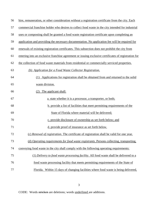| 56 | hire, remuneration, or other consideration without a registration certificate from the city. Each    |
|----|------------------------------------------------------------------------------------------------------|
| 57 | commercial franchise holder who desires to collect food waste in the city intended for industrial    |
| 58 | uses or composting shall be granted a food waste registration certificate upon completing an         |
| 59 | application and providing the necessary documentation. No application fee will be required for       |
| 60 | renewals of existing registration certificates. This subsection does not prohibit the city from      |
| 61 | entering into an exclusive franchise agreement or issuing exclusive certificates of registration for |
| 62 | the collection of food waste materials from residential or commercially serviced properties.         |
| 63 | (b) Application for a Food Waste Collector Registration.                                             |
| 64 | Applications for registration shall be obtained from and returned to the solid<br>(1)                |
| 65 | waste division.                                                                                      |
| 66 | The applicant shall:<br>(2)                                                                          |
| 67 | a. state whether it is a processor, a transporter, or both;                                          |
| 68 | b. provide a list of facilities that meet permitting requirements of the                             |
| 69 | State of Florida where material will be delivered;                                                   |
| 70 | c. provide disclosure of ownership as set forth below; and                                           |
| 71 | d. provide proof of insurance as set forth below.                                                    |
| 72 | (c) Renewal of registration. The certificate of registration shall be valid for one year.            |
| 73 | (d) Operating requirements for food waste registrants. Persons collecting, transporting,             |
| 74 | conveying food waste in the city shall comply with the following operating requirements:             |
| 75 | (1) Delivery to food waste processing facility. All food waste shall be delivered to a               |
| 76 | food waste processing facility that meets permitting requirements of the State of                    |
| 77 | Florida. Within 15 days of changing facilities where food waste is being delivered,                  |

CODE: Words stricken are deletions; words underlined are additions.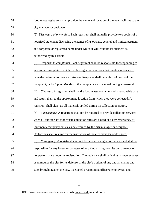| 78 | food waste registrants shall provide the name and location of the new facilities to the      |  |  |
|----|----------------------------------------------------------------------------------------------|--|--|
| 79 | city manager or designee.                                                                    |  |  |
| 80 | (2) Disclosure of ownership. Each registrant shall annually provide two copies of a          |  |  |
| 81 | notarized statement disclosing the names of its owners, general and limited partners,        |  |  |
| 82 | and corporate or registered name under which it will conduct its business as                 |  |  |
| 83 | authorized by this article.                                                                  |  |  |
| 84 | Response to complaints. Each registrant shall be responsible for responding to<br>(3)        |  |  |
| 85 | any and all complaints which involve registrant's actions that create a nuisance or          |  |  |
| 86 | have the potential to create a nuisance. Response shall be within 24 hours of the            |  |  |
| 87 | complaint, or by 5 p.m. Monday if the complaint was received during a weekend.               |  |  |
| 88 | Clean-up. A registrant shall handle food waste containers with reasonable care<br>(4)        |  |  |
| 89 | and return them to the approximate location from which they were collected. A                |  |  |
| 90 | registrant shall clean up all materials spilled during its collection operation.             |  |  |
| 91 | <i>Emergencies.</i> A registrant shall not be required to provide collection services<br>(5) |  |  |
| 92 | when all appropriate food waste collection sites are closed or a city emergency or           |  |  |
| 93 | imminent emergency exists, as determined by the city manager or designee.                    |  |  |
| 94 | Collections shall resume on the instruction of the city manager or designee.                 |  |  |
| 95 | Non-agency. A registrant shall not be deemed an agent of the city and shall be<br>(6)        |  |  |
| 96 | responsible for any losses or damages of any kind arising from its performance or            |  |  |
| 97 | nonperformance under its registration. The registrant shall defend at its own expense        |  |  |
| 98 | or reimburse the city for its defense, at the city's option, of any and all claims and       |  |  |
| 99 | suits brought against the city, its elected or appointed officers, employees, and            |  |  |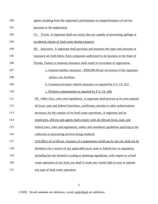| 100 | agents resulting from the registrant's performance or nonperformance of service                     |
|-----|-----------------------------------------------------------------------------------------------------|
| 101 | pursuant to the registration.                                                                       |
| 102 | Trucks. A registrant shall use trucks that are capable of preventing spillage or<br>(7)             |
| 103 | accidental release of food waste during transport.                                                  |
| 104 | <i>Insurance.</i> A registrant shall purchase and maintain the types and amounts of<br>(8)          |
| 105 | insurance set forth below from companies authorized to do business in the State of                  |
| 106 | Florida. Failure to maintain insurance shall result in revocation of registration.                  |
| 107 | a. General liability insurance - \$500,000.00 per occurrence if the registrant                      |
| 108 | utilizes city facilities.                                                                           |
| 109 | b. Commercial motor vehicle insurance as required by F.S. Ch. 627.                                  |
| 110 | c. Workers compensation as required by F.S. Ch. 440.                                                |
| 111 | Other laws, rules and regulations. A registrant shall procure at its own expense<br>(9)             |
| 112 | all local, state and federal franchises, certificates, permits or other authorizations              |
| 113 | necessary for the conduct of its food waste operations. A registrant and its                        |
| 114 | employees, officers and agents shall comply with all relevant local, state, and                     |
| 115 | federal laws, rules and regulations, orders and mandatory guidelines applying to the                |
| 116 | collection or processing services being rendered.                                                   |
| 117 | (10) <i>Effect of certificate</i> . Issuance of a registration certificate by the city shall not be |
| 118 | deemed to be a waiver of any applicable local, state or federal law or regulation,                  |
| 119 | including but not limited to zoning or planning regulations, with respect to a food                 |
| 120 | waste operation of any kind, nor shall it create any vested right to own or operate                 |
| 121 | any type of food waste operation.                                                                   |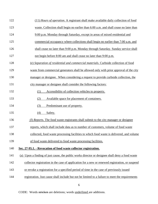| 122 | (11) Hours of operation. A registrant shall make available daily collection of food              |
|-----|--------------------------------------------------------------------------------------------------|
| 123 | waste. Collection shall begin no earlier than 6:00 a.m. and shall cease no later than            |
| 124 | 9:00 p.m. Monday through Saturday, except in areas of mixed residential and                      |
| 125 | commercial occupancy where collections shall begin no earlier than 7:00 a.m. and                 |
| 126 | shall cease no later than 9:00 p.m. Monday through Saturday. Sunday service shall                |
| 127 | not begin before 8:00 am and shall cease no later than 9:00 p.m.                                 |
| 128 | (e) Separation of residential and commercial materials. Curbside collection of food              |
| 129 | waste from commercial generators shall be allowed only with prior approval of the city           |
| 130 | manager or designee. When considering a request to provide curbside collection, the              |
| 131 | city manager or designee shall consider the following factors:                                   |
| 132 | (1)<br>Accessibility of collection vehicles to property.                                         |
| 133 | Available space for placement of containers.<br>(2)                                              |
| 134 | (3)<br>Predominant use of property.                                                              |
| 135 | (4)<br>Safety.                                                                                   |
| 136 | (f) Reports. The food waste registrants shall submit to the city manager or designee             |
| 137 | reports, which shall include data as to number of customers, volume of food waste                |
| 138 | <u>collected</u> , food waste processing facilities to which food waste is delivered, and volume |
| 139 | of food waste delivered to food waste processing facilities.                                     |
| 140 | Sec. 27-95.1. - Revocation of food waste collector registration.                                 |
| 141 | (a) Upon a finding of just cause, the public works director or designee shall deny a food waste  |
| 142 | collector registration in the case of application for a new or renewed registration, or suspend  |
| 143 | or revoke a registration for a specified period of time in the case of previously issued         |
| 144 | registration. Just cause shall include but not be limited to a failure to meet the requirements  |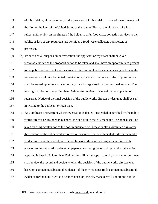| 145 | of this division, violation of any of the provisions of this division or any of the ordinances of |
|-----|---------------------------------------------------------------------------------------------------|
| 146 | the city, or the laws of the United States or the state of Florida, the violations of which       |
| 147 | reflect unfavorably on the fitness of the holder to offer food waste collection services to the   |
| 148 | public, or loss of any required state permit as a food waste collector, transporter, or           |
| 149 | processor.                                                                                        |
| 150 | Prior to denial, suspension or revocation, the applicant or registrant shall be given<br>(b)      |
| 151 | reasonable notice of the proposed action to be taken and shall have an opportunity to present     |
| 152 | to the public works director or designee written and oral evidence at a hearing as to why the     |
| 153 | registration should not be denied, revoked or suspended. The notice of the proposed action        |
| 154 | shall be served upon the applicant or registrant by registered mail or personal service. The      |
| 155 | hearing shall be held no earlier than 10 days after notice is received by the applicant or        |
| 156 | registrant. Notice of the final decision of the public works director or designee shall be sent   |
| 157 | in writing to the applicant or registrant.                                                        |
| 158 | (c) Any applicant or registrant whose registration is denied, suspended or revoked by the public  |
| 159 | works director or designee may appeal the decision to the city manager. The appeal shall be       |
| 160 | taken by filing written notice thereof, in duplicate, with the city clerk within ten days after   |
| 161 | the decision of the public works director or designee. The city clerk shall inform the public     |
| 162 | works director of the appeal, and the public works director or designee shall forthwith           |
| 163 | transmit to the city clerk copies of all papers constituting the record upon which the action     |
| 164 | appealed is based. No later than 15 days after filing the appeal, the city manager or designee    |
| 165 | shall review the record and decide whether the decision of the public works director was          |
| 166 | based on competent, substantial evidence. If the city manager finds competent, substantial        |
| 167 | evidence for the public works director's decision, the city manager will uphold the public        |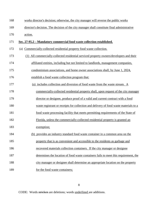| 168 | works director's decision; otherwise, the city manager will reverse the public works        |  |  |
|-----|---------------------------------------------------------------------------------------------|--|--|
| 169 | director's decision. The decision of the city manager shall constitute final administrative |  |  |
| 170 | action.                                                                                     |  |  |
| 171 | Sec. 27-95.2 – Mandatory commercial food waste collection established.                      |  |  |
| 172 | (a) Commercially-collected residential property food waste collection.                      |  |  |
| 173 | All commercially-collected residential serviced property owners/developers and their<br>(1) |  |  |
| 174 | affiliated entities, including but not limited to landlords, management companies,          |  |  |
| 175 | condominium associations, and home owner associations shall, by June 1, 2024,               |  |  |
| 176 | establish a food waste collection program that:                                             |  |  |
| 177 | (a) includes collection and diversion of food waste from the waste stream. A                |  |  |
| 178 | commercially-collected residential property shall, upon request of the city manager         |  |  |
| 179 | director or designee, produce proof of a valid and current contract with a food             |  |  |
| 180 | waste registrant or receipts for collection and delivery of food waste materials to a       |  |  |
| 181 | food waste processing facility that meets permitting requirements of the State of           |  |  |
| 182 | Florida, unless the commercially-collected residential property is granted an               |  |  |
| 183 | exemption;                                                                                  |  |  |
| 184 | (b) provides an industry standard food waste container in a common area on the              |  |  |
| 185 | property that is as convenient and accessible to the residents as garbage and               |  |  |
| 186 | recovered materials collection containers. If the city manager or designee                  |  |  |
| 187 | determines the location of food waste containers fails to meet this requirement, the        |  |  |
| 188 | city manager or designee shall determine an appropriate location on the property            |  |  |
| 189 | for the food waste containers;                                                              |  |  |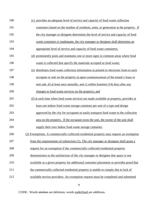| 190 | (c) provides an adequate level of service and capacity of food waste collection         |
|-----|-----------------------------------------------------------------------------------------|
| 191 | containers based on the number of residents, units, or generation at the property. If   |
| 192 | the city manager or designee determines the level of service and capacity of food       |
| 193 | waste containers is inadequate, the city manager or designee shall determine an         |
| 194 | appropriate level of service and capacity of food waste containers;                     |
| 195 | (d) prominently posts and maintains one or more signs in common areas where food        |
| 196 | waste is collected that specify the materials accepted as food waste;                   |
| 197 | (e) distributes food waste collection information in printed or electronic form to each |
| 198 | occupant or unit on the property a) upon commencement of the tenant's lease or          |
| 199 | unit sale, b) at least once annually, and c) within fourteen (14) days after any        |
| 200 | changes to food waste services on the property; and                                     |
| 201 | (f) at such time when food waste services are made available at property, provides at   |
| 202 | least one indoor food waste storage container per unit of a type and design             |
| 203 | approved by the city for occupants to easily transport food waste to the collection     |
| 204 | area on the property. If the occupant owns the unit, the owner of the unit shall        |
| 205 | supply their own indoor food waste storage container.                                   |
| 206 | (2) Exemptions. A commercially-collected residential property may request an exemption  |
| 207 | from the requirements of subsection (1). The city manager or designee shall grant a     |
| 208 | request for an exemption if the commercially-collected residential property             |
| 209 | demonstrates to the satisfaction of the city manager or designee that space is not      |
| 210 | available at a given property for additional container placement or provides proof that |
| 211 | the commercially-collected residential property is unable to comply due to lack of      |
| 212 | available service providers. An exemption request must be completed and submitted       |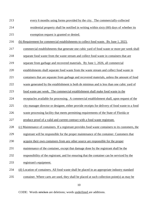- every 6 months using forms provided by the city. The commercially-collected
- residential property shall be notified in writing within sixty (60) days of whether its
- exemption request is granted or denied.
- (b) Requirement for commercial establishments to collect food waste. By June 1, 2023,
- commercial establishments that generate one cubic yard of food waste or more per week shall
- separate food waste from the waste stream and collect food waste in containers that are
- separate from garbage and recovered materials. By June 1, 2026, all commercial
- establishments shall separate food waste from the waste stream and collect food waste in
- containers that are separate from garbage and recovered materials, unless the amount of food
- waste generated by the establishment is both de minimus and is less than one cubic yard of
- food waste per week. The commercial establishment shall make food waste in the
- receptacles available for processing. A commercial establishment shall, upon request of the
- city manager director or designee, either provide receipts for delivery of food waste to a food
- waste processing facility that meets permitting requirements of the State of Florida or
- produce proof of a valid and current contract with a food waste registrant.
- (c) Maintenance of containers. If a registrant provides food waste containers to its customers, the
- registrant will be responsible for the proper maintenance of the container. Customers that
- acquire their own containers from any other source are responsible for the proper
- maintenance of the container, except that damage done by the registrant shall be the
- responsibility of the registrant; and for ensuring that the container can be serviced by the
- registrant's equipment.
- (d) Location of containers. All food waste shall be placed in an appropriate industry standard
- container. Where carts are used, they shall be placed at such collection point(s) as may be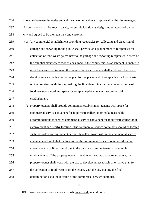agreed to between the registrant and the customer, subject to approval by the city manager.

- All containers shall be kept in a safe, accessible location as designated or approved by the
- 238 city and agreed to by the registrant and customer.
- (1) Any commercial establishment providing receptacles for collecting and disposing of
- garbage and recycling to the public shall provide an equal number of receptacles for
- collection of food waste paired next to the garbage and recycling receptacles in areas of
- 242 the establishment where food is consumed. If the commercial establishment is unable to
- meet the above requirement, the commercial establishment shall work with the city to
- develop an acceptable alternative plan for the placement of receptacles for food waste
- on the premises, with the city making the final determination based upon volume of
- food waste produced and space for receptacle placement at the commercial
- establishment.
- (2) Property owners shall provide commercial establishment tenants with space for
- commercial service containers for food waste collection or make reasonable
- accommodations for shared commercial service containers for food waste collection in
- a convenient and nearby location. The commercial service containers should be located
- such that collection equipment can safely collect waste within the commercial service
- containers and such that the location of the commercial service containers does not
- create a health or litter hazard due to the distance from the tenant's commercial
- establishment. If the property owner is unable to meet the above requirement, the
- property owner shall work with the city to develop an acceptable alternative plan for
- the collection of food waste from the tenant, with the city making the final
- determination as to the location of the commercial service container.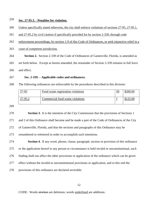## **Sec. 27-95.3. - Penalties for violation.**

Unless specifically stated otherwise, the city shall enforce violations of sections 27-95, 27-95.1,

and 27-95.2 by civil citation if specifically provided for by section 2-339, through code

enforcement proceedings, by [section 1-9](https://library.municode.com/fl/gainesville/codes/code_of_ordinances?nodeId=PTIICOOR_CH1GEPR_S1-9GEPEAB) of this Code of Ordinances, or seek injunctive relief in a

court of competent jurisdiction.

**Section 2.** Section 2-339 of the Code of Ordinances of Gainesville, Florida, is amended as

set forth below. Except as herein amended, the remainder of Section 2-339 remains in full force

and effect.

## **Sec. 2-339. – Applicable codes and ordinances.**

The following ordinances are enforceable by the procedures described in this division:

| $27 - 95$ | Food waste registration violations | ш | \$200.00 |
|-----------|------------------------------------|---|----------|
| 27-95.2   | Commercial food waste violations   |   | 1250C    |

 **Section 3.** It is the intention of the City Commission that the provisions of Sections 1 and 2 of this Ordinance shall become and be made a part of the Code of Ordinances of the City of Gainesville, Florida, and that the sections and paragraphs of this Ordinance may be renumbered or relettered in order to accomplish such intentions.

 **Section 4.** If any word, phrase, clause, paragraph, section or provision of this ordinance or the application hereof to any person or circumstance is held invalid or unconstitutional, such finding shall not affect the other provisions or application of the ordinance which can be given effect without the invalid or unconstitutional provisions or application, and to this end the provisions of this ordinance are declared severable.